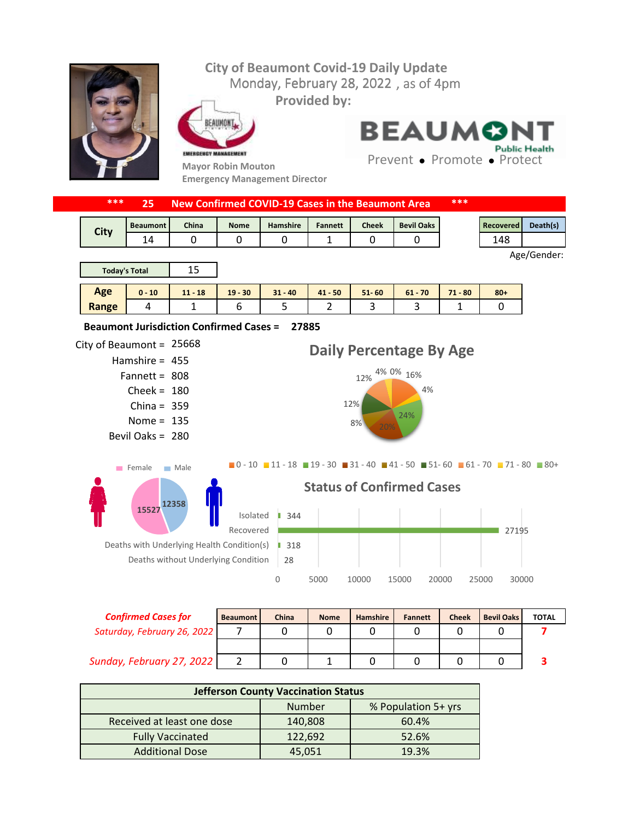## **City of Beaumont Covid-19 Daily Update** Monday, February 28, 2022, as of 4pm **Provided by:** EAUMONT **BEAUMO Public Health** EMERGENCY MANAGEMENT Prevent • Promote • Protect **Mayor Robin Mouton Emergency Management Director \*\*\* 25 New Confirmed COVID-19 Cases in the Beaumont Area \*\*\*** Beaumont | China | Nome | Hamshire | Fannett | Cheek | Bevil Oaks | Necovered | Death(s) **City** 14 0 0 0 1 0 0 0 148 Age/Gender: 15 **Today's Total Age 0 - 10 11 - 18 19 - 30 31 - 40 41 - 50 51- 60 61 - 70 71 - 80 80+ Range** 4 | 1 | 6 | 5 | 2 | 3 | 3 | 1 | 0 **27885 Beaumont Jurisdiction Confirmed Cases =**  City of Beaumont =  $25668$ **Daily Percentage By Age** Hamshire = 455 12% 4% 0% 16% 808 Fannett =



| <b>Confirmed Cases for</b>  | <b>Beaumont</b> | China | <b>Nome</b> | Hamshire | <b>Fannett</b> | <b>Cheek</b> | <b>Bevil Oaks</b> | <b>TOTAL</b> |
|-----------------------------|-----------------|-------|-------------|----------|----------------|--------------|-------------------|--------------|
| Saturday, February 26, 2022 |                 |       |             |          |                |              |                   |              |
|                             |                 |       |             |          |                |              |                   |              |
| Sunday, February 27, 2022   |                 |       |             |          |                |              |                   |              |

| <b>Jefferson County Vaccination Status</b> |               |                     |  |  |  |  |  |
|--------------------------------------------|---------------|---------------------|--|--|--|--|--|
|                                            | <b>Number</b> | % Population 5+ yrs |  |  |  |  |  |
| Received at least one dose                 | 140,808       | 60.4%               |  |  |  |  |  |
| <b>Fully Vaccinated</b>                    | 122,692       | 52.6%               |  |  |  |  |  |
| <b>Additional Dose</b>                     | 45,051        | 19.3%               |  |  |  |  |  |